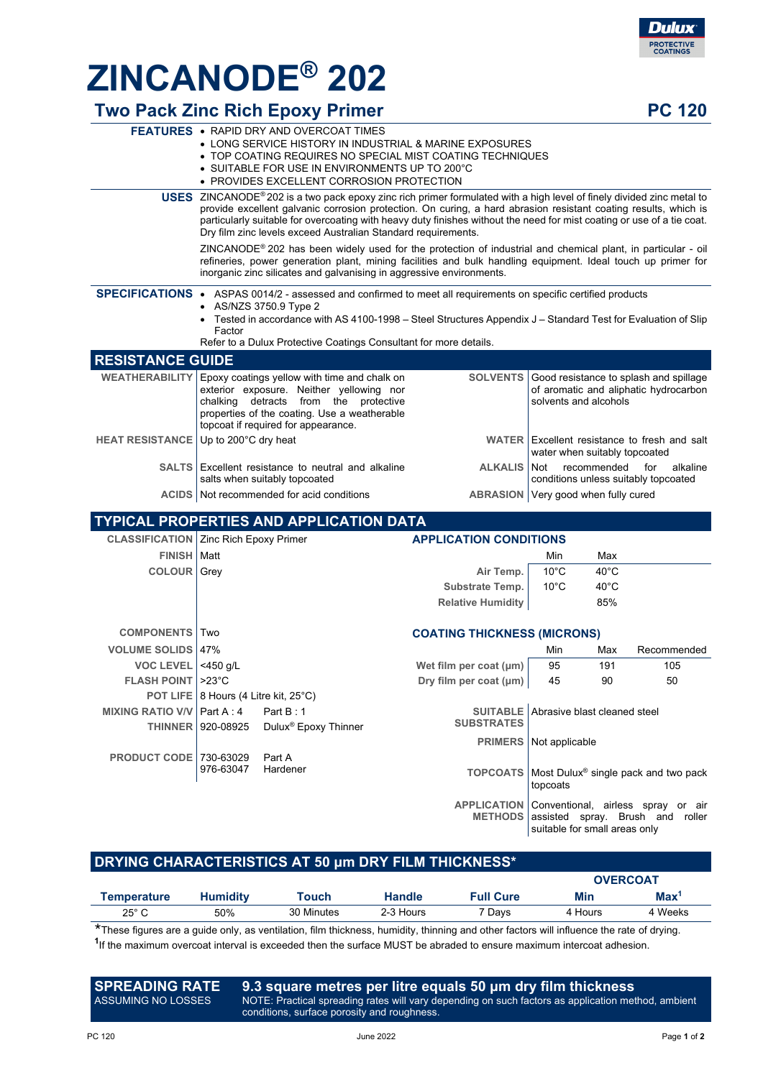

## **ZINCANODE® 202**

## **Two Pack Zinc Rich Epoxy Primer <b>PC** 120

|                                                | <b>FEATURES • RAPID DRY AND OVERCOAT TIMES</b><br>• LONG SERVICE HISTORY IN INDUSTRIAL & MARINE EXPOSURES<br>• TOP COATING REQUIRES NO SPECIAL MIST COATING TECHNIQUES<br>• SUITABLE FOR USE IN ENVIRONMENTS UP TO 200°C<br>• PROVIDES EXCELLENT CORROSION PROTECTION                                                                                                                                                                                  |                                                                               |                               |                                                                                                          |                |                                                                                            |
|------------------------------------------------|--------------------------------------------------------------------------------------------------------------------------------------------------------------------------------------------------------------------------------------------------------------------------------------------------------------------------------------------------------------------------------------------------------------------------------------------------------|-------------------------------------------------------------------------------|-------------------------------|----------------------------------------------------------------------------------------------------------|----------------|--------------------------------------------------------------------------------------------|
|                                                | <b>USES</b> ZINCANODE <sup>®</sup> 202 is a two pack epoxy zinc rich primer formulated with a high level of finely divided zinc metal to<br>provide excellent galvanic corrosion protection. On curing, a hard abrasion resistant coating results, which is<br>particularly suitable for overcoating with heavy duty finishes without the need for mist coating or use of a tie coat.<br>Dry film zinc levels exceed Australian Standard requirements. |                                                                               |                               |                                                                                                          |                |                                                                                            |
|                                                | ZINCANODE® 202 has been widely used for the protection of industrial and chemical plant, in particular - oil<br>refineries, power generation plant, mining facilities and bulk handling equipment. Ideal touch up primer for<br>inorganic zinc silicates and galvanising in aggressive environments.                                                                                                                                                   |                                                                               |                               |                                                                                                          |                |                                                                                            |
|                                                | SPECIFICATIONS • ASPAS 0014/2 - assessed and confirmed to meet all requirements on specific certified products<br>• AS/NZS 3750.9 Type 2<br>Tested in accordance with AS 4100-1998 – Steel Structures Appendix J – Standard Test for Evaluation of Slip<br>$\bullet$<br>Factor<br>Refer to a Dulux Protective Coatings Consultant for more details.                                                                                                    |                                                                               |                               |                                                                                                          |                |                                                                                            |
| <b>RESISTANCE GUIDE</b>                        |                                                                                                                                                                                                                                                                                                                                                                                                                                                        |                                                                               |                               |                                                                                                          |                |                                                                                            |
| <b>WEATHERABILITY</b>                          | Epoxy coatings yellow with time and chalk on<br><b>SOLVENTS</b><br>exterior exposure. Neither yellowing nor<br>chalking detracts from the protective<br>properties of the coating. Use a weatherable<br>topcoat if required for appearance.                                                                                                                                                                                                            |                                                                               |                               | Good resistance to splash and spillage<br>of aromatic and aliphatic hydrocarbon<br>solvents and alcohols |                |                                                                                            |
| <b>HEAT RESISTANCE</b>                         | Up to 200°C dry heat                                                                                                                                                                                                                                                                                                                                                                                                                                   |                                                                               |                               | WATER Excellent resistance to fresh and salt<br>water when suitably topcoated                            |                |                                                                                            |
| <b>SALTS</b>                                   |                                                                                                                                                                                                                                                                                                                                                                                                                                                        | Excellent resistance to neutral and alkaline<br>salts when suitably topcoated | <b>ALKALIS</b>                | for<br>alkaline<br>Not<br>recommended<br>conditions unless suitably topcoated                            |                |                                                                                            |
|                                                | ACIDS   Not recommended for acid conditions                                                                                                                                                                                                                                                                                                                                                                                                            |                                                                               |                               | ABRASION   Very good when fully cured                                                                    |                |                                                                                            |
|                                                |                                                                                                                                                                                                                                                                                                                                                                                                                                                        | <b>TYPICAL PROPERTIES AND APPLICATION DATA</b>                                |                               |                                                                                                          |                |                                                                                            |
| <b>CLASSIFICATION   Zinc Rich Epoxy Primer</b> |                                                                                                                                                                                                                                                                                                                                                                                                                                                        |                                                                               | <b>APPLICATION CONDITIONS</b> |                                                                                                          |                |                                                                                            |
| <b>FINISH   Matt</b>                           |                                                                                                                                                                                                                                                                                                                                                                                                                                                        |                                                                               |                               | Min                                                                                                      | Max            |                                                                                            |
| <b>COLOUR</b> Grey                             |                                                                                                                                                                                                                                                                                                                                                                                                                                                        |                                                                               | Air Temp.                     | $10^{\circ}$ C                                                                                           | 40°C           |                                                                                            |
|                                                |                                                                                                                                                                                                                                                                                                                                                                                                                                                        |                                                                               | Substrate Temp.               | $10^{\circ}$ C                                                                                           | $40^{\circ}$ C |                                                                                            |
|                                                | 85%<br><b>Relative Humidity</b>                                                                                                                                                                                                                                                                                                                                                                                                                        |                                                                               |                               |                                                                                                          |                |                                                                                            |
| <b>COMPONENTS</b>                              | Two<br><b>COATING THICKNESS (MICRONS)</b>                                                                                                                                                                                                                                                                                                                                                                                                              |                                                                               |                               |                                                                                                          |                |                                                                                            |
| <b>VOLUME SOLIDS 47%</b>                       |                                                                                                                                                                                                                                                                                                                                                                                                                                                        |                                                                               |                               | Max                                                                                                      | Recommended    |                                                                                            |
| <b>VOC LEVEL</b>                               | $<$ 450 g/L                                                                                                                                                                                                                                                                                                                                                                                                                                            |                                                                               | Wet film per coat (µm)        | 95                                                                                                       | 191            | 105                                                                                        |
| <b>FLASH POINT   &gt;23°C</b>                  |                                                                                                                                                                                                                                                                                                                                                                                                                                                        |                                                                               | Dry film per coat (µm)        | 45                                                                                                       | 90             | 50                                                                                         |
|                                                | POT LIFE   8 Hours (4 Litre kit, 25°C)                                                                                                                                                                                                                                                                                                                                                                                                                 |                                                                               |                               |                                                                                                          |                |                                                                                            |
| MIXING RATIO V/V Part A: 4                     | Part B: 1<br><b>SUITABLE</b> Abrasive blast cleaned steel                                                                                                                                                                                                                                                                                                                                                                                              |                                                                               |                               |                                                                                                          |                |                                                                                            |
|                                                | THINNER   920-08925                                                                                                                                                                                                                                                                                                                                                                                                                                    | Dulux <sup>®</sup> Epoxy Thinner                                              | <b>SUBSTRATES</b>             |                                                                                                          |                |                                                                                            |
|                                                |                                                                                                                                                                                                                                                                                                                                                                                                                                                        |                                                                               | <b>PRIMERS</b>                | Not applicable                                                                                           |                |                                                                                            |
| <b>PRODUCT CODE</b>                            | 730-63029<br>976-63047                                                                                                                                                                                                                                                                                                                                                                                                                                 | Part A<br>Hardener                                                            | <b>TOPCOATS</b>               | topcoats                                                                                                 |                | Most Dulux <sup>®</sup> single pack and two pack                                           |
|                                                |                                                                                                                                                                                                                                                                                                                                                                                                                                                        |                                                                               |                               |                                                                                                          |                | APPLICATION Conventional, airless spray or air<br>METHODS assisted spray. Brush and roller |

**DRYING CHARACTERISTICS AT 50 μm DRY FILM THICKNESS\***

|                |                 |            |               |                  | <b>OVERCOAT</b> |            |
|----------------|-----------------|------------|---------------|------------------|-----------------|------------|
| Temperature    | <b>Humidity</b> | Touch      | <b>Handle</b> | <b>Full Cure</b> | Min             | <b>Max</b> |
| $25^{\circ}$ C | 50%             | 30 Minutes | 2-3 Hours     | 7 Days           | 4 Hours         | 4 Weeks    |

These figures are a guide only, as ventilation, film thickness, humidity, thinning and other factors will influence the rate of drying. <sup>1</sup>If the maximum overcoat interval is exceeded then the surface MUST be abraded to ensure maximum intercoat adhesion.

| ASSUMING NO LOSSES | SPREADING RATE 9.3 square metres per litre equals 50 um dry film thickness<br>NOTE: Practical spreading rates will vary depending on such factors as application method, ambient |
|--------------------|----------------------------------------------------------------------------------------------------------------------------------------------------------------------------------|
|                    | conditions, surface porosity and roughness.                                                                                                                                      |

suitable for small areas only